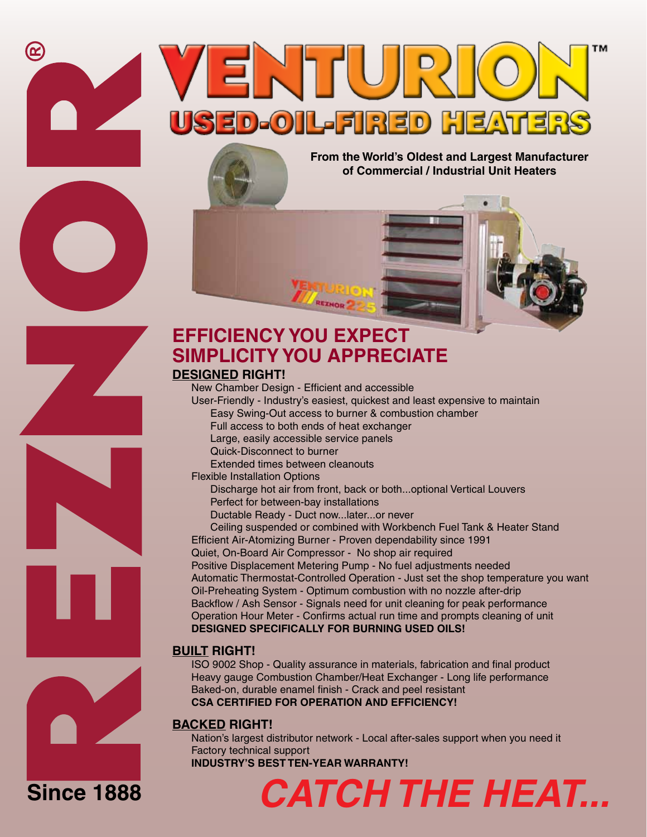

**From the World's Oldest and Largest Manufacturer of Commercial / Industrial Unit Heaters**

# **EFFICIENCY YOU EXPECT SIMPLICITY YOU APPRECIATE**

#### **DESIGNED RIGHT!**

New Chamber Design - Efficient and accessible User-Friendly - Industry's easiest, quickest and least expensive to maintain

- Easy Swing-Out access to burner & combustion chamber
- Full access to both ends of heat exchanger
- Large, easily accessible service panels Quick-Disconnect to burner
- Extended times between cleanouts
- 
- Flexible Installation Options Discharge hot air from front, back or both...optional Vertical Louvers
	- Perfect for between-bay installations
	- Ductable Ready Duct now...later...or never

Ceiling suspended or combined with Workbench Fuel Tank & Heater Stand Efficient Air-Atomizing Burner - Proven dependability since 1991 Quiet, On-Board Air Compressor - No shop air required Positive Displacement Metering Pump - No fuel adjustments needed Automatic Thermostat-Controlled Operation - Just set the shop temperature you want Oil-Preheating System - Optimum combustion with no nozzle after-drip Backflow / Ash Sensor - Signals need for unit cleaning for peak performance Operation Hour Meter - Confirms actual run time and prompts cleaning of unit **DESIGNED SPECIFICALLY FOR BURNING USED OILS!**

# **BUILT RIGHT!**

ISO 9002 Shop - Quality assurance in materials, fabrication and final product Heavy gauge Combustion Chamber/Heat Exchanger - Long life performance Baked-on, durable enamel finish - Crack and peel resistant **CSA CERTIFIED FOR OPERATION AND EFFICIENCY!**

# **BACKED RIGHT!**

Nation's largest distributor network - Local after-sales support when you need it Factory technical support

#### **INDUSTRY'S BEST TEN-YEAR WARRANTY!**





 $\boldsymbol{\Xi}$ 

# **Since 1888**